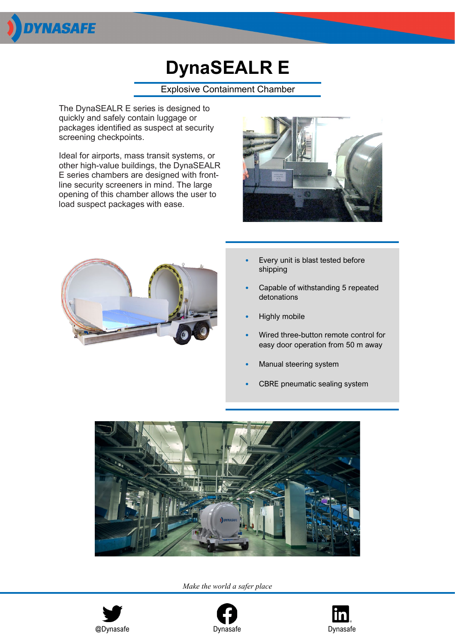

## **DynaSEALR E**

Explosive Containment Chamber

The DynaSEALR E series is designed to quickly and safely contain luggage or packages identified as suspect at security screening checkpoints.

Ideal for airports, mass transit systems, or other high-value buildings, the DynaSEALR E series chambers are designed with frontline security screeners in mind. The large opening of this chamber allows the user to load suspect packages with ease.





- Every unit is blast tested before shipping
- Capable of withstanding 5 repeated detonations
- Highly mobile
- Wired three-button remote control for easy door operation from 50 m away
- Manual steering system
- CBRE pneumatic sealing system



*Make the world a safer place*